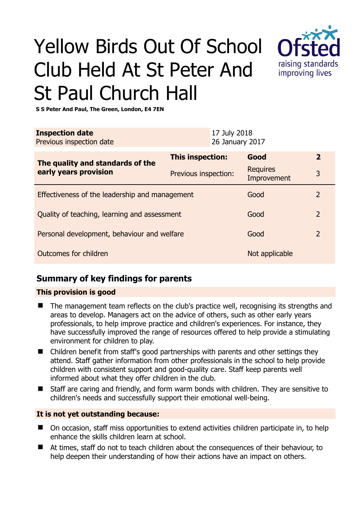# Yellow Birds Out Of School Club Held At St Peter And St Paul Church Hall



**S S Peter And Paul, The Green, London, E4 7EN** 

| <b>Inspection date</b><br>Previous inspection date        |                      | 17 July 2018<br>26 January 2017 |                                |                |
|-----------------------------------------------------------|----------------------|---------------------------------|--------------------------------|----------------|
| The quality and standards of the<br>early years provision | This inspection:     |                                 | Good                           | $\overline{2}$ |
|                                                           | Previous inspection: |                                 | <b>Requires</b><br>Improvement | 3              |
| Effectiveness of the leadership and management<br>Good    |                      |                                 |                                | $\overline{2}$ |
| Quality of teaching, learning and assessment              |                      |                                 | Good                           | $\overline{2}$ |
| Personal development, behaviour and welfare               |                      |                                 | Good                           | $\overline{2}$ |
| Outcomes for children                                     |                      |                                 | Not applicable                 |                |

## **Summary of key findings for parents**

#### **This provision is good**

- The management team reflects on the club's practice well, recognising its strengths and areas to develop. Managers act on the advice of others, such as other early years professionals, to help improve practice and children's experiences. For instance, they have successfully improved the range of resources offered to help provide a stimulating environment for children to play.
- Children benefit from staff's good partnerships with parents and other settings they attend. Staff gather information from other professionals in the school to help provide children with consistent support and good-quality care. Staff keep parents well informed about what they offer children in the club.
- Staff are caring and friendly, and form warm bonds with children. They are sensitive to children's needs and successfully support their emotional well-being.

#### **It is not yet outstanding because:**

- On occasion, staff miss opportunities to extend activities children participate in, to help enhance the skills children learn at school.
- At times, staff do not to teach children about the consequences of their behaviour, to help deepen their understanding of how their actions have an impact on others.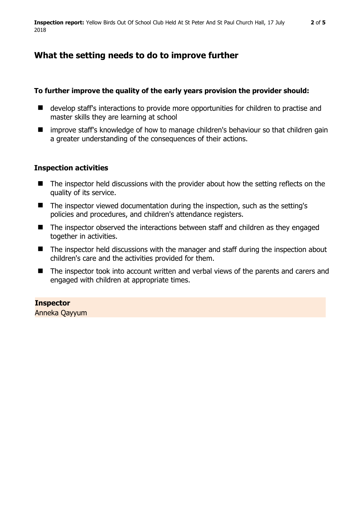## **What the setting needs to do to improve further**

#### **To further improve the quality of the early years provision the provider should:**

- develop staff's interactions to provide more opportunities for children to practise and master skills they are learning at school
- improve staff's knowledge of how to manage children's behaviour so that children gain a greater understanding of the consequences of their actions.

## **Inspection activities**

- The inspector held discussions with the provider about how the setting reflects on the quality of its service.
- The inspector viewed documentation during the inspection, such as the setting's policies and procedures, and children's attendance registers.
- The inspector observed the interactions between staff and children as they engaged together in activities.
- The inspector held discussions with the manager and staff during the inspection about children's care and the activities provided for them.
- The inspector took into account written and verbal views of the parents and carers and engaged with children at appropriate times.

#### **Inspector**

Anneka Qayyum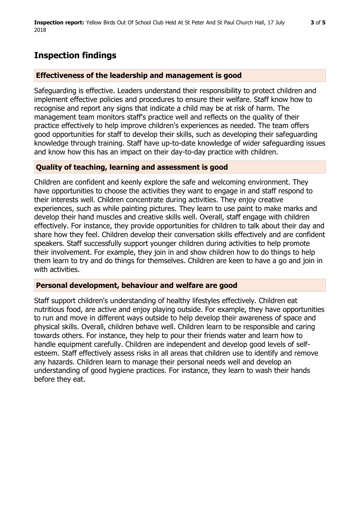# **Inspection findings**

#### **Effectiveness of the leadership and management is good**

Safeguarding is effective. Leaders understand their responsibility to protect children and implement effective policies and procedures to ensure their welfare. Staff know how to recognise and report any signs that indicate a child may be at risk of harm. The management team monitors staff's practice well and reflects on the quality of their practice effectively to help improve children's experiences as needed. The team offers good opportunities for staff to develop their skills, such as developing their safeguarding knowledge through training. Staff have up-to-date knowledge of wider safeguarding issues and know how this has an impact on their day-to-day practice with children.

## **Quality of teaching, learning and assessment is good**

Children are confident and keenly explore the safe and welcoming environment. They have opportunities to choose the activities they want to engage in and staff respond to their interests well. Children concentrate during activities. They enjoy creative experiences, such as while painting pictures. They learn to use paint to make marks and develop their hand muscles and creative skills well. Overall, staff engage with children effectively. For instance, they provide opportunities for children to talk about their day and share how they feel. Children develop their conversation skills effectively and are confident speakers. Staff successfully support younger children during activities to help promote their involvement. For example, they join in and show children how to do things to help them learn to try and do things for themselves. Children are keen to have a go and join in with activities.

#### **Personal development, behaviour and welfare are good**

Staff support children's understanding of healthy lifestyles effectively. Children eat nutritious food, are active and enjoy playing outside. For example, they have opportunities to run and move in different ways outside to help develop their awareness of space and physical skills. Overall, children behave well. Children learn to be responsible and caring towards others. For instance, they help to pour their friends water and learn how to handle equipment carefully. Children are independent and develop good levels of selfesteem. Staff effectively assess risks in all areas that children use to identify and remove any hazards. Children learn to manage their personal needs well and develop an understanding of good hygiene practices. For instance, they learn to wash their hands before they eat.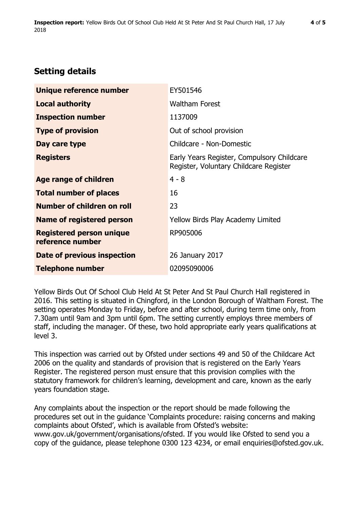# **Setting details**

| Unique reference number                             | EY501546                                                                             |  |
|-----------------------------------------------------|--------------------------------------------------------------------------------------|--|
| <b>Local authority</b>                              | <b>Waltham Forest</b>                                                                |  |
| <b>Inspection number</b>                            | 1137009                                                                              |  |
| <b>Type of provision</b>                            | Out of school provision                                                              |  |
| Day care type                                       | Childcare - Non-Domestic                                                             |  |
| <b>Registers</b>                                    | Early Years Register, Compulsory Childcare<br>Register, Voluntary Childcare Register |  |
| Age range of children                               | $4 - 8$                                                                              |  |
| <b>Total number of places</b>                       | 16                                                                                   |  |
| Number of children on roll                          | 23                                                                                   |  |
| <b>Name of registered person</b>                    | <b>Yellow Birds Play Academy Limited</b>                                             |  |
| <b>Registered person unique</b><br>reference number | RP905006                                                                             |  |
| Date of previous inspection                         | 26 January 2017                                                                      |  |
| <b>Telephone number</b>                             | 02095090006                                                                          |  |

Yellow Birds Out Of School Club Held At St Peter And St Paul Church Hall registered in 2016. This setting is situated in Chingford, in the London Borough of Waltham Forest. The setting operates Monday to Friday, before and after school, during term time only, from 7.30am until 9am and 3pm until 6pm. The setting currently employs three members of staff, including the manager. Of these, two hold appropriate early years qualifications at level 3.

This inspection was carried out by Ofsted under sections 49 and 50 of the Childcare Act 2006 on the quality and standards of provision that is registered on the Early Years Register. The registered person must ensure that this provision complies with the statutory framework for children's learning, development and care, known as the early years foundation stage.

Any complaints about the inspection or the report should be made following the procedures set out in the guidance 'Complaints procedure: raising concerns and making complaints about Ofsted', which is available from Ofsted's website: www.gov.uk/government/organisations/ofsted. If you would like Ofsted to send you a copy of the guidance, please telephone 0300 123 4234, or email enquiries@ofsted.gov.uk.